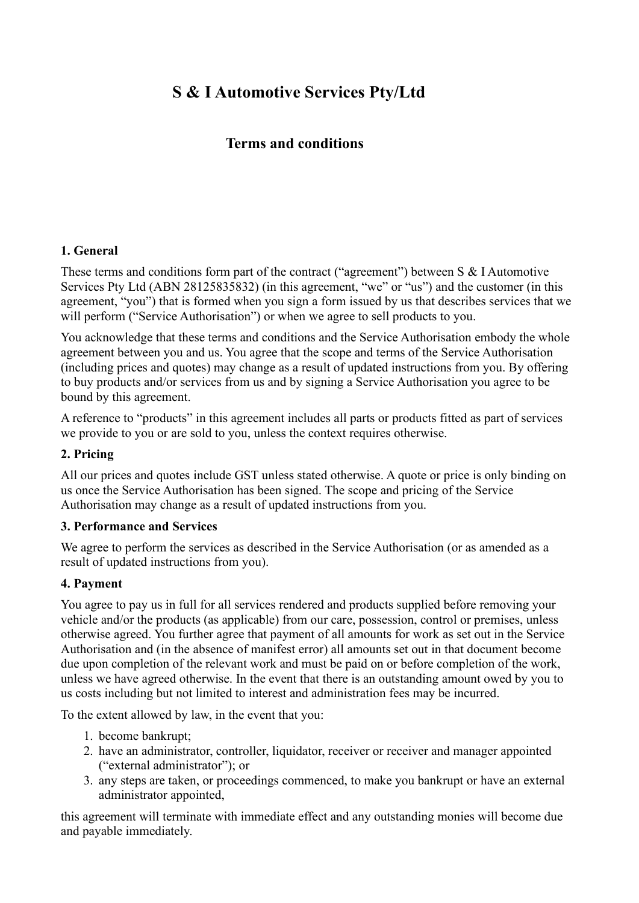# **S & I Automotive Services Pty/Ltd**

## **Terms and conditions**

#### **1. General**

These terms and conditions form part of the contract ("agreement") between S & I Automotive Services Pty Ltd (ABN 28125835832) (in this agreement, "we" or "us") and the customer (in this agreement, "you") that is formed when you sign a form issued by us that describes services that we will perform ("Service Authorisation") or when we agree to sell products to you.

You acknowledge that these terms and conditions and the Service Authorisation embody the whole agreement between you and us. You agree that the scope and terms of the Service Authorisation (including prices and quotes) may change as a result of updated instructions from you. By offering to buy products and/or services from us and by signing a Service Authorisation you agree to be bound by this agreement.

A reference to "products" in this agreement includes all parts or products fitted as part of services we provide to you or are sold to you, unless the context requires otherwise.

#### **2. Pricing**

All our prices and quotes include GST unless stated otherwise. A quote or price is only binding on us once the Service Authorisation has been signed. The scope and pricing of the Service Authorisation may change as a result of updated instructions from you.

#### **3. Performance and Services**

We agree to perform the services as described in the Service Authorisation (or as amended as a result of updated instructions from you).

#### **4. Payment**

You agree to pay us in full for all services rendered and products supplied before removing your vehicle and/or the products (as applicable) from our care, possession, control or premises, unless otherwise agreed. You further agree that payment of all amounts for work as set out in the Service Authorisation and (in the absence of manifest error) all amounts set out in that document become due upon completion of the relevant work and must be paid on or before completion of the work, unless we have agreed otherwise. In the event that there is an outstanding amount owed by you to us costs including but not limited to interest and administration fees may be incurred.

To the extent allowed by law, in the event that you:

- 1. become bankrupt;
- 2. have an administrator, controller, liquidator, receiver or receiver and manager appointed ("external administrator"); or
- 3. any steps are taken, or proceedings commenced, to make you bankrupt or have an external administrator appointed,

this agreement will terminate with immediate effect and any outstanding monies will become due and payable immediately.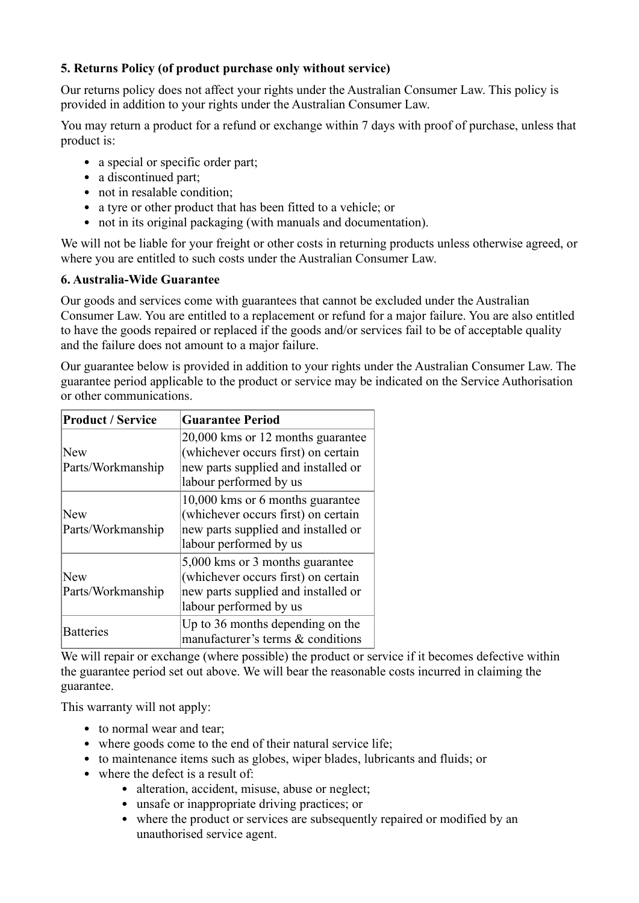#### **5. Returns Policy (of product purchase only without service)**

Our returns policy does not affect your rights under the Australian Consumer Law. This policy is provided in addition to your rights under the Australian Consumer Law.

You may return a product for a refund or exchange within 7 days with proof of purchase, unless that product is:

- a special or specific order part;
- a discontinued part;
- not in resalable condition;
- a tyre or other product that has been fitted to a vehicle; or
- not in its original packaging (with manuals and documentation).

We will not be liable for your freight or other costs in returning products unless otherwise agreed, or where you are entitled to such costs under the Australian Consumer Law.

#### **6. Australia-Wide Guarantee**

Our goods and services come with guarantees that cannot be excluded under the Australian Consumer Law. You are entitled to a replacement or refund for a major failure. You are also entitled to have the goods repaired or replaced if the goods and/or services fail to be of acceptable quality and the failure does not amount to a major failure.

Our guarantee below is provided in addition to your rights under the Australian Consumer Law. The guarantee period applicable to the product or service may be indicated on the Service Authorisation or other communications.

| <b>Product / Service</b>        | <b>Guarantee Period</b>                                                                                                                   |
|---------------------------------|-------------------------------------------------------------------------------------------------------------------------------------------|
| New<br>Parts/Workmanship        | 20,000 kms or 12 months guarantee<br>(whichever occurs first) on certain<br>new parts supplied and installed or<br>labour performed by us |
| <b>New</b><br>Parts/Workmanship | 10,000 kms or 6 months guarantee<br>(whichever occurs first) on certain<br>new parts supplied and installed or<br>labour performed by us  |
| New<br>Parts/Workmanship        | 5,000 kms or 3 months guarantee<br>(whichever occurs first) on certain<br>new parts supplied and installed or<br>labour performed by us   |
| <b>Batteries</b>                | Up to 36 months depending on the<br>manufacturer's terms & conditions                                                                     |

We will repair or exchange (where possible) the product or service if it becomes defective within the guarantee period set out above. We will bear the reasonable costs incurred in claiming the guarantee.

This warranty will not apply:

- to normal wear and tear;
- where goods come to the end of their natural service life;
- to maintenance items such as globes, wiper blades, lubricants and fluids; or
- where the defect is a result of:
	- alteration, accident, misuse, abuse or neglect;
	- unsafe or inappropriate driving practices; or
	- where the product or services are subsequently repaired or modified by an unauthorised service agent.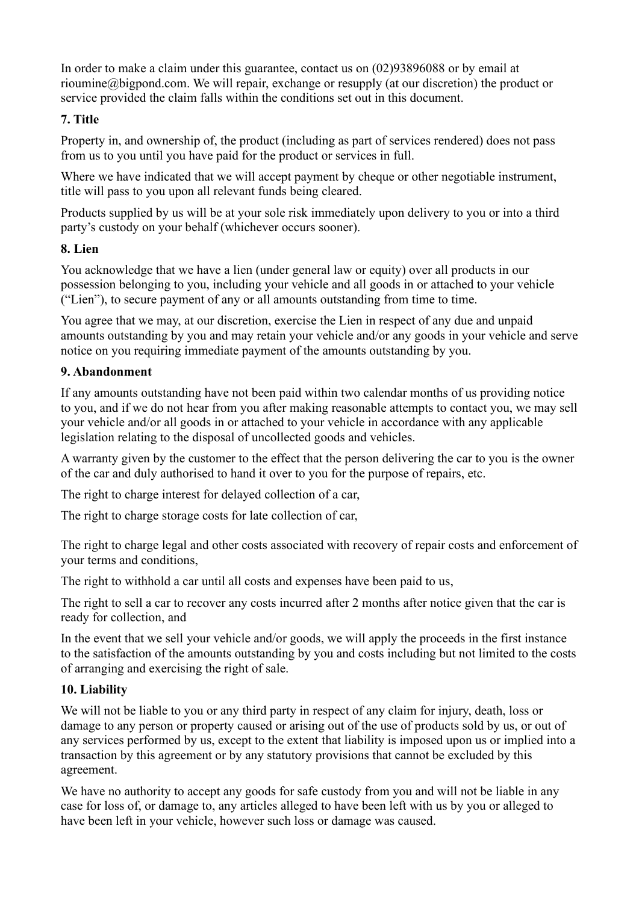In order to make a claim under this guarantee, contact us on (02)93896088 or by email at rioumine@bigpond.com. We will repair, exchange or resupply (at our discretion) the product or service provided the claim falls within the conditions set out in this document.

### **7. Title**

Property in, and ownership of, the product (including as part of services rendered) does not pass from us to you until you have paid for the product or services in full.

Where we have indicated that we will accept payment by cheque or other negotiable instrument, title will pass to you upon all relevant funds being cleared.

Products supplied by us will be at your sole risk immediately upon delivery to you or into a third party's custody on your behalf (whichever occurs sooner).

## **8. Lien**

You acknowledge that we have a lien (under general law or equity) over all products in our possession belonging to you, including your vehicle and all goods in or attached to your vehicle ("Lien"), to secure payment of any or all amounts outstanding from time to time.

You agree that we may, at our discretion, exercise the Lien in respect of any due and unpaid amounts outstanding by you and may retain your vehicle and/or any goods in your vehicle and serve notice on you requiring immediate payment of the amounts outstanding by you.

## **9. Abandonment**

If any amounts outstanding have not been paid within two calendar months of us providing notice to you, and if we do not hear from you after making reasonable attempts to contact you, we may sell your vehicle and/or all goods in or attached to your vehicle in accordance with any applicable legislation relating to the disposal of uncollected goods and vehicles.

A warranty given by the customer to the effect that the person delivering the car to you is the owner of the car and duly authorised to hand it over to you for the purpose of repairs, etc.

The right to charge interest for delayed collection of a car,

The right to charge storage costs for late collection of car,

The right to charge legal and other costs associated with recovery of repair costs and enforcement of your terms and conditions,

The right to withhold a car until all costs and expenses have been paid to us,

The right to sell a car to recover any costs incurred after 2 months after notice given that the car is ready for collection, and

In the event that we sell your vehicle and/or goods, we will apply the proceeds in the first instance to the satisfaction of the amounts outstanding by you and costs including but not limited to the costs of arranging and exercising the right of sale.

## **10. Liability**

We will not be liable to you or any third party in respect of any claim for injury, death, loss or damage to any person or property caused or arising out of the use of products sold by us, or out of any services performed by us, except to the extent that liability is imposed upon us or implied into a transaction by this agreement or by any statutory provisions that cannot be excluded by this agreement.

We have no authority to accept any goods for safe custody from you and will not be liable in any case for loss of, or damage to, any articles alleged to have been left with us by you or alleged to have been left in your vehicle, however such loss or damage was caused.